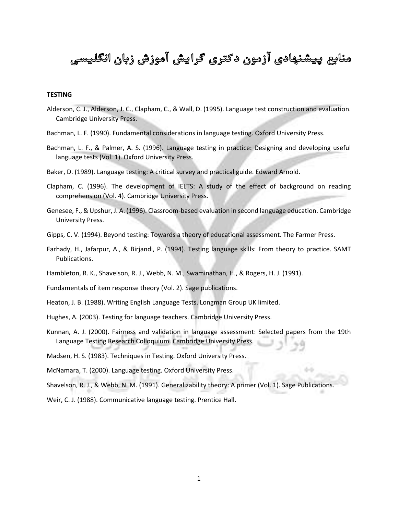# منابع پیشنهادی آزمون دکتری گرایش آموزش زبان انگلیسی

# **TESTING**

- Alderson, C. J., Alderson, J. C., Clapham, C., & Wall, D. (1995). Language test construction and evaluation. Cambridge University Press.
- Bachman, L. F. (1990). Fundamental considerations in language testing. Oxford University Press.
- Bachman, L. F., & Palmer, A. S. (1996). Language testing in practice: Designing and developing useful language tests (Vol. 1). Oxford University Press.
- Baker, D. (1989). Language testing: A critical survey and practical guide. Edward Arnold.
- Clapham, C. (1996). The development of IELTS: A study of the effect of background on reading comprehension (Vol. 4). Cambridge University Press.
- Genesee, F., & Upshur, J. A. (1996). Classroom-based evaluation in second language education. Cambridge University Press.
- Gipps, C. V. (1994). Beyond testing: Towards a theory of educational assessment. The Farmer Press.
- Farhady, H., Jafarpur, A., & Birjandi, P. (1994). Testing language skills: From theory to practice. SAMT Publications.
- Hambleton, R. K., Shavelson, R. J., Webb, N. M., Swaminathan, H., & Rogers, H. J. (1991).
- Fundamentals of item response theory (Vol. 2). Sage publications.
- Heaton, J. B. (1988). Writing English Language Tests. Longman Group UK limited.
- Hughes, A. (2003). Testing for language teachers. Cambridge University Press.
- Kunnan, A. J. (2000). Fairness and validation in language assessment: Selected papers from the 19th Language Testing Research Colloquium. Cambridge University Press.
- Madsen, H. S. (1983). Techniques in Testing. Oxford University Press.
- McNamara, T. (2000). Language testing. Oxford University Press.
- Shavelson, R. J., & Webb, N. M. (1991). Generalizability theory: A primer (Vol. 1). Sage Publications.
- Weir, C. J. (1988). Communicative language testing. Prentice Hall.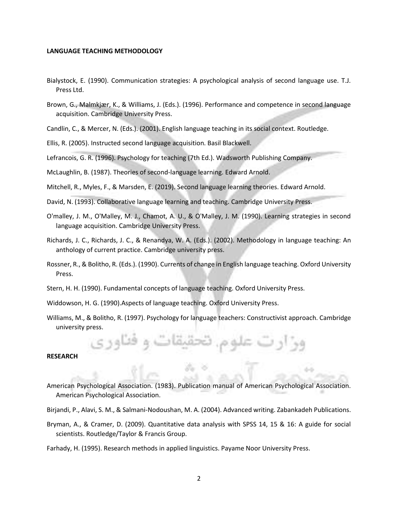#### **LANGUAGE TEACHING METHODOLOGY**

- Bialystock, E. (1990). Communication strategies: A psychological analysis of second language use. T.J. Press Ltd.
- Brown, G., Malmkjær, K., & Williams, J. (Eds.). (1996). Performance and competence in second language acquisition. Cambridge University Press.
- Candlin, C., & Mercer, N. (Eds.). (2001). English language teaching in its social context. Routledge.
- Ellis, R. (2005). Instructed second language acquisition. Basil Blackwell.
- Lefrancois, G. R. (1996). Psychology for teaching (7th Ed.). Wadsworth Publishing Company.

McLaughlin, B. (1987). Theories of second-language learning. Edward Arnold.

- Mitchell, R., Myles, F., & Marsden, E. (2019). Second language learning theories. Edward Arnold.
- David, N. (1993). Collaborative language learning and teaching. Cambridge University Press.
- O'malley, J. M., O'Malley, M. J., Chamot, A. U., & O'Malley, J. M. (1990). Learning strategies in second language acquisition. Cambridge University Press.
- Richards, J. C., Richards, J. C., & Renandya, W. A. (Eds.). (2002). Methodology in language teaching: An anthology of current practice. Cambridge university press.
- Rossner, R., & Bolitho, R. (Eds.). (1990). Currents of change in English language teaching. Oxford University Press.
- Stern, H. H. (1990). Fundamental concepts of language teaching. Oxford University Press.
- Widdowson, H. G. (1990).Aspects of language teaching. Oxford University Press.
- Williams, M., & Bolitho, R. (1997). Psychology for language teachers: Constructivist approach. Cambridge university press.

#### **RESEARCH**

- American Psychological Association. (1983). Publication manual of American Psychological Association. American Psychological Association.
- Birjandi, P., Alavi, S. M., & Salmani-Nodoushan, M. A. (2004). Advanced writing. Zabankadeh Publications.
- Bryman, A., & Cramer, D. (2009). Quantitative data analysis with SPSS 14, 15 & 16: A guide for social scientists. Routledge/Taylor & Francis Group.
- Farhady, H. (1995). Research methods in applied linguistics. Payame Noor University Press.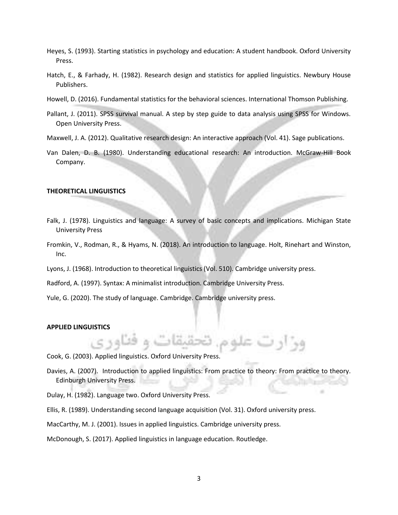- Heyes, S. (1993). Starting statistics in psychology and education: A student handbook. Oxford University Press.
- Hatch, E., & Farhady, H. (1982). Research design and statistics for applied linguistics. Newbury House Publishers.
- Howell, D. (2016). Fundamental statistics for the behavioral sciences. International Thomson Publishing.
- Pallant, J. (2011). SPSS survival manual. A step by step guide to data analysis using SPSS for Windows. Open University Press.
- Maxwell, J. A. (2012). Qualitative research design: An interactive approach (Vol. 41). Sage publications.
- Van Dalen, D. B. (1980). Understanding educational research: An introduction. McGraw-Hill Book Company.

#### **THEORETICAL LINGUISTICS**

- Falk, J. (1978). Linguistics and language: A survey of basic concepts and implications. Michigan State University Press
- Fromkin, V., Rodman, R., & Hyams, N. (2018). An introduction to language. Holt, Rinehart and Winston, Inc.
- Lyons, J. (1968). Introduction to theoretical linguistics (Vol. 510). Cambridge university press.
- Radford, A. (1997). Syntax: A minimalist introduction. Cambridge University Press.
- Yule, G. (2020). The study of language. Cambridge. Cambridge university press.

#### **APPLIED LINGUISTICS**

- Cook, G. (2003). Applied linguistics. Oxford University Press.
- Davies, A. (2007). Introduction to applied linguistics: From practice to theory: From practice to theory. Edinburgh University Press.

وو او ت علو،

- Dulay, H. (1982). Language two. Oxford University Press.
- Ellis, R. (1989). Understanding second language acquisition (Vol. 31). Oxford university press.
- MacCarthy, M. J. (2001). Issues in applied linguistics. Cambridge university press.
- McDonough, S. (2017). Applied linguistics in language education. Routledge.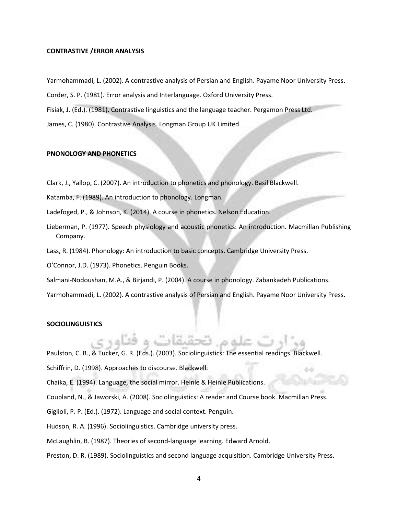## **CONTRASTIVE /ERROR ANALYSIS**

Yarmohammadi, L. (2002). A contrastive analysis of Persian and English. Payame Noor University Press.

Corder, S. P. (1981). Error analysis and Interlanguage. Oxford University Press.

Fisiak, J. (Ed.). (1981). Contrastive linguistics and the language teacher. Pergamon Press Ltd.

James, C. (1980). Contrastive Analysis. Longman Group UK Limited.

## **PNONOLOGY AND PHONETICS**

Clark, J., Yallop, C. (2007). An introduction to phonetics and phonology. Basil Blackwell.

Katamba, F. (1989). An introduction to phonology. Longman.

Ladefoged, P., & Johnson, K. (2014). A course in phonetics. Nelson Education.

- Lieberman, P. (1977). Speech physiology and acoustic phonetics: An introduction. Macmillan Publishing Company.
- Lass, R. (1984). Phonology: An introduction to basic concepts. Cambridge University Press.

O'Connor, J.D. (1973). Phonetics. Penguin Books.

Salmani-Nodoushan, M.A., & Birjandi, P. (2004). A course in phonology. Zabankadeh Publications.

Yarmohammadi, L. (2002). A contrastive analysis of Persian and English. Payame Noor University Press.

## **SOCIOLINGUISTICS**

Paulston, C. B., & Tucker, G. R. (Eds.). (2003). Sociolinguistics: The essential readings. Blackwell.

Schiffrin, D. (1998). Approaches to discourse. Blackwell.

Chaika, E. (1994). Language, the social mirror. Heinle & Heinle Publications.

Coupland, N., & Jaworski, A. (2008). Sociolinguistics: A reader and Course book. Macmillan Press.

- Giglioli, P. P. (Ed.). (1972). Language and social context. Penguin.
- Hudson, R. A. (1996). Sociolinguistics. Cambridge university press.
- McLaughlin, B. (1987). Theories of second-language learning. Edward Arnold.

# Preston, D. R. (1989). Sociolinguistics and second language acquisition. Cambridge University Press.